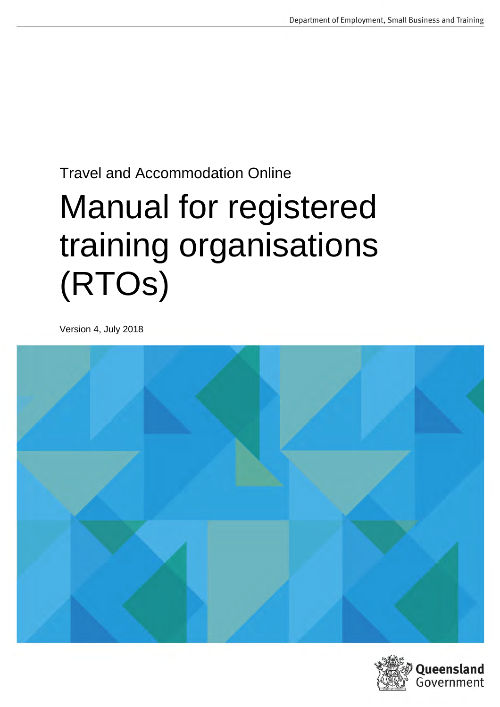# Travel and Accommodation Online

# Manual for registered training organisations (RTOs)

Version 4, July 2018



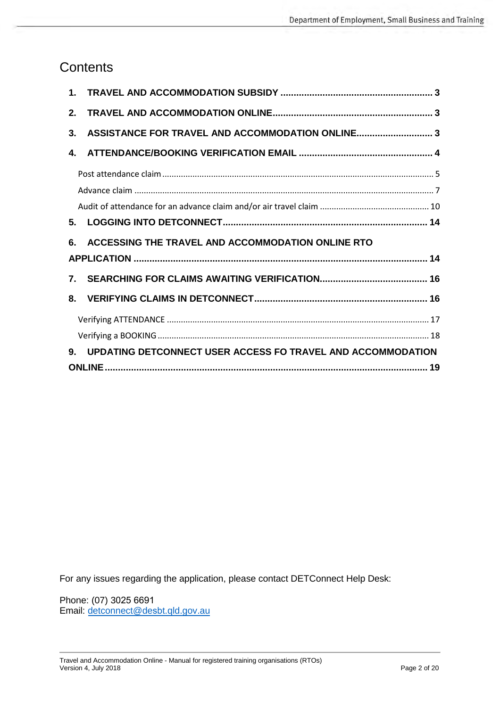### **Contents**

| 2.             |                                                             |  |
|----------------|-------------------------------------------------------------|--|
| 3.             |                                                             |  |
| 4.             |                                                             |  |
|                |                                                             |  |
|                |                                                             |  |
|                |                                                             |  |
| 5.             |                                                             |  |
|                |                                                             |  |
| 6.             | ACCESSING THE TRAVEL AND ACCOMMODATION ONLINE RTO           |  |
|                |                                                             |  |
| $\mathbf{7}$ . |                                                             |  |
| 8.             |                                                             |  |
|                |                                                             |  |
|                |                                                             |  |
| 9.             | UPDATING DETCONNECT USER ACCESS FO TRAVEL AND ACCOMMODATION |  |

For any issues regarding the application, please contact DETConnect Help Desk:

Phone: (07) 3025 6691 Email: [detconnect@de](mailto:detconnect@desbt.qld.gov.au)sbt.qld.gov.au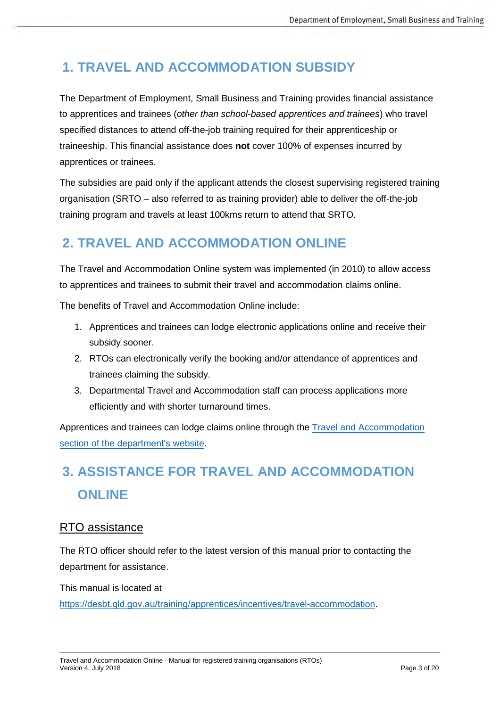# <span id="page-2-0"></span>**1. TRAVEL AND ACCOMMODATION SUBSIDY**

The Department of Employment, Small Business and Training provides financial assistance to apprentices and trainees (*other than school-based apprentices and trainees*) who travel specified distances to attend off-the-job training required for their apprenticeship or traineeship. This financial assistance does **not** cover 100% of expenses incurred by apprentices or trainees.

The subsidies are paid only if the applicant attends the closest supervising registered training organisation (SRTO – also referred to as training provider) able to deliver the off-the-job training program and travels at least 100kms return to attend that SRTO.

# <span id="page-2-1"></span>**2. TRAVEL AND ACCOMMODATION ONLINE**

The Travel and Accommodation Online system was implemented (in 2010) to allow access to apprentices and trainees to submit their travel and accommodation claims online.

The benefits of Travel and Accommodation Online include:

- 1. Apprentices and trainees can lodge electronic applications online and receive their subsidy sooner.
- 2. RTOs can electronically verify the booking and/or attendance of apprentices and trainees claiming the subsidy.
- 3. Departmental Travel and Accommodation staff can process applications more efficiently and with shorter turnaround times.

Apprentices and trainees can lodge claims online through the Travel [and Accommodation](https://desbt.qld.gov.au/training/apprentices/incentives/travel-accommodation)  section of the [department's](https://desbt.qld.gov.au/training/apprentices/incentives/travel-accommodation) website.

# <span id="page-2-2"></span>**3. ASSISTANCE FOR TRAVEL AND ACCOMMODATION ONLINE**

### RTO assistance

The RTO officer should refer to the latest version of this manual prior to contacting the department for assistance.

This manual is located at

https://desbt.qld.gov.au/training/apprentices/[incentives/travel-accommodation](https://desbt.qld.gov.au/training/apprentices/incentives/travel-accommodation).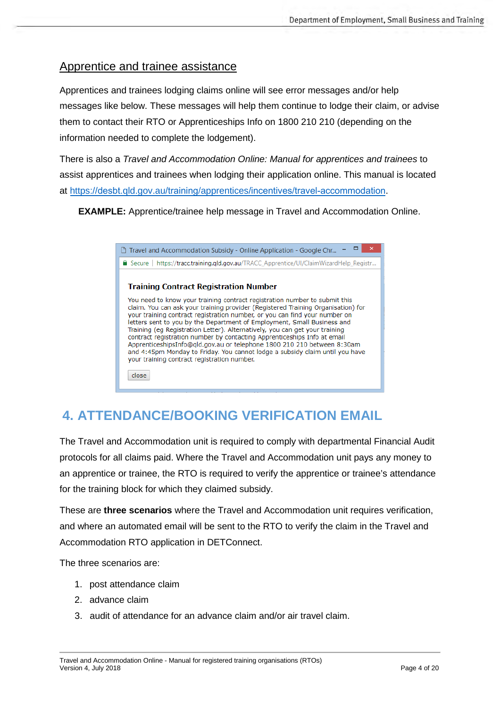### Apprentice and trainee assistance

Apprentices and trainees lodging claims online will see error messages and/or help messages like below. These messages will help them continue to lodge their claim, or advise them to contact their RTO or Apprenticeships Info on 1800 210 210 (depending on the information needed to complete the lodgement).

There is also a *Travel and Accommodation Online: Manual for apprentices and trainees* to assist apprentices and trainees when lodging their application online. This manual is located at https://desbt.qld.gov.au/training/apprentices/[incentives/travel-accommodation](https://desbt.qld.gov.au/training/apprentices/incentives/travel-accommodation).

**EXAMPLE:** Apprentice/trainee help message in Travel and Accommodation Online.

| □ Travel and Accommodation Subsidy - Online Application - Google Chr                                                                                                                                                                                                                                                                                                                                                                                                                                                                                                                                                                                                                                  |
|-------------------------------------------------------------------------------------------------------------------------------------------------------------------------------------------------------------------------------------------------------------------------------------------------------------------------------------------------------------------------------------------------------------------------------------------------------------------------------------------------------------------------------------------------------------------------------------------------------------------------------------------------------------------------------------------------------|
| https://tracc.training.qld.gov.au/TRACC_Apprentice/UI/ClaimWizardHelp_Registr<br>$\blacksquare$ Secure                                                                                                                                                                                                                                                                                                                                                                                                                                                                                                                                                                                                |
| <b>Training Contract Registration Number</b>                                                                                                                                                                                                                                                                                                                                                                                                                                                                                                                                                                                                                                                          |
| You need to know your training contract registration number to submit this<br>claim. You can ask your training provider (Registered Training Organisation) for<br>your training contract registration number, or you can find your number on<br>letters sent to you by the Department of Employment, Small Business and<br>Training (eg Registration Letter). Alternatively, you can get your training<br>contract registration number by contacting Apprenticeships Info at email<br>ApprenticeshipsInfo@qld.gov.au or telephone 1800 210 210 between 8:30am<br>and 4:45pm Monday to Friday. You cannot lodge a subsidy claim until you have<br>your training contract registration number.<br>close |

# <span id="page-3-0"></span>**4. ATTENDANCE/BOOKING VERIFICATION EMAIL**

The Travel and Accommodation unit is required to comply with departmental Financial Audit protocols for all claims paid. Where the Travel and Accommodation unit pays any money to an apprentice or trainee, the RTO is required to verify the apprentice or trainee's attendance for the training block for which they claimed subsidy.

These are **three scenarios** where the Travel and Accommodation unit requires verification, and where an automated email will be sent to the RTO to verify the claim in the Travel and Accommodation RTO application in DETConnect.

The three scenarios are:

- 1. post attendance claim
- 2. advance claim
- 3. audit of attendance for an advance claim and/or air travel claim.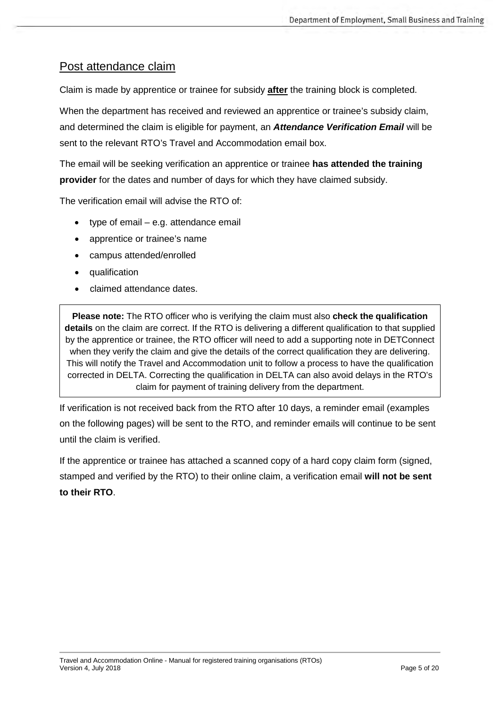### <span id="page-4-0"></span>Post attendance claim

Claim is made by apprentice or trainee for subsidy **after** the training block is completed.

When the department has received and reviewed an apprentice or trainee's subsidy claim, and determined the claim is eligible for payment, an *Attendance Verification Email* will be sent to the relevant RTO's Travel and Accommodation email box.

The email will be seeking verification an apprentice or trainee **has attended the training provider** for the dates and number of days for which they have claimed subsidy.

The verification email will advise the RTO of:

- type of email e.g. attendance email
- apprentice or trainee's name
- campus attended/enrolled
- qualification
- claimed attendance dates.

**Please note:** The RTO officer who is verifying the claim must also **check the qualification details** on the claim are correct. If the RTO is delivering a different qualification to that supplied by the apprentice or trainee, the RTO officer will need to add a supporting note in DETConnect when they verify the claim and give the details of the correct qualification they are delivering. This will notify the Travel and Accommodation unit to follow a process to have the qualification corrected in DELTA. Correcting the qualification in DELTA can also avoid delays in the RTO's claim for payment of training delivery from the department.

If verification is not received back from the RTO after 10 days, a reminder email (examples on the following pages) will be sent to the RTO, and reminder emails will continue to be sent until the claim is verified.

If the apprentice or trainee has attached a scanned copy of a hard copy claim form (signed, stamped and verified by the RTO) to their online claim, a verification email **will not be sent to their RTO**.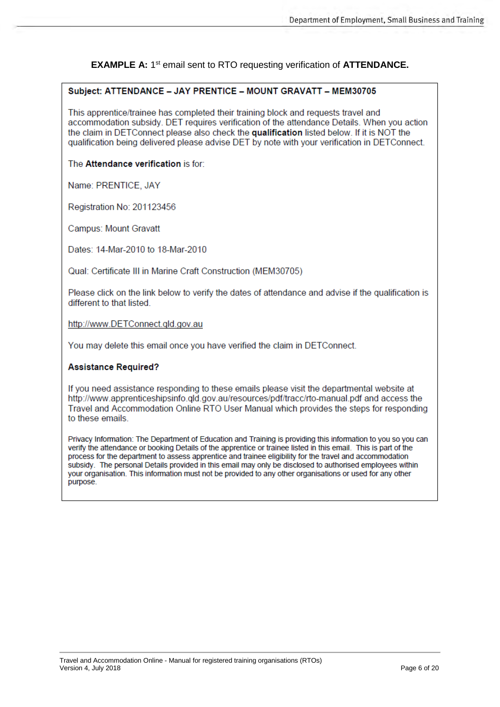#### **EXAMPLE A: 1st email sent to RTO requesting verification of ATTENDANCE.**

#### Subject: ATTENDANCE - JAY PRENTICE - MOUNT GRAVATT - MEM30705

This apprentice/trainee has completed their training block and requests travel and accommodation subsidy. DET requires verification of the attendance Details. When you action the claim in DETConnect please also check the qualification listed below. If it is NOT the qualification being delivered please advise DET by note with your verification in DETConnect.

The Attendance verification is for:

Name: PRENTICE, JAY

Registration No: 201123456

**Campus: Mount Gravatt** 

Dates: 14-Mar-2010 to 18-Mar-2010

Qual: Certificate III in Marine Craft Construction (MEM30705)

Please click on the link below to verify the dates of attendance and advise if the qualification is different to that listed

http://www.DETConnect.qld.gov.au

You may delete this email once you have verified the claim in DETConnect.

#### **Assistance Required?**

If you need assistance responding to these emails please visit the departmental website at http://www.apprenticeshipsinfo.gld.gov.au/resources/pdf/tracc/rto-manual.pdf and access the Travel and Accommodation Online RTO User Manual which provides the steps for responding to these emails.

Privacy Information: The Department of Education and Training is providing this information to you so you can verify the attendance or booking Details of the apprentice or trainee listed in this email. This is part of the process for the department to assess apprentice and trainee eligibility for the travel and accommodation subsidy. The personal Details provided in this email may only be disclosed to authorised employees within your organisation. This information must not be provided to any other organisations or used for any other purpose.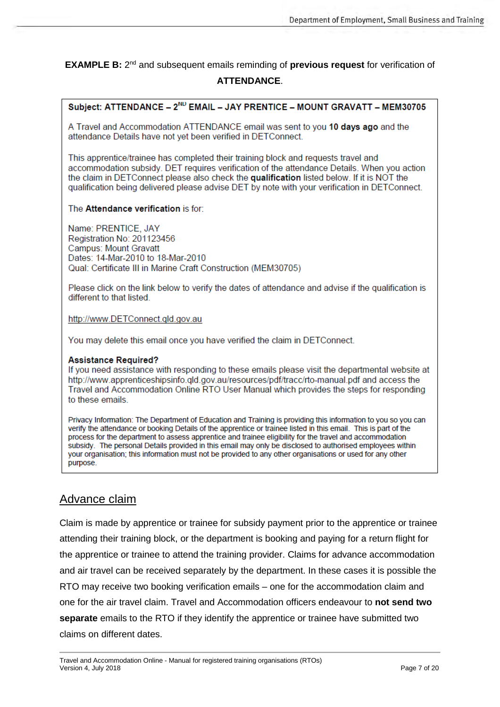**EXAMPLE B:** 2nd and subsequent emails reminding of **previous request** for verification of **ATTENDANCE**.

### Subject: ATTENDANCE - 2<sup>ND</sup> EMAIL - JAY PRENTICE - MOUNT GRAVATT - MEM30705

A Travel and Accommodation ATTENDANCE email was sent to you 10 days ago and the attendance Details have not vet been verified in DETConnect.

This apprentice/trainee has completed their training block and requests travel and accommodation subsidy. DET requires verification of the attendance Details. When you action the claim in DETConnect please also check the qualification listed below. If it is NOT the qualification being delivered please advise DET by note with your verification in DETConnect.

#### The Attendance verification is for:

Name: PRENTICE, JAY Registration No: 201123456 **Campus: Mount Gravatt** Dates: 14-Mar-2010 to 18-Mar-2010 Qual: Certificate III in Marine Craft Construction (MEM30705)

Please click on the link below to verify the dates of attendance and advise if the qualification is different to that listed.

#### http://www.DETConnect.gld.gov.au

You may delete this email once you have verified the claim in DETConnect.

#### **Assistance Required?**

If you need assistance with responding to these emails please visit the departmental website at http://www.apprenticeshipsinfo.gld.gov.au/resources/pdf/tracc/rto-manual.pdf and access the Travel and Accommodation Online RTO User Manual which provides the steps for responding to these emails.

Privacy Information: The Department of Education and Training is providing this information to you so you can verify the attendance or booking Details of the apprentice or trainee listed in this email. This is part of the process for the department to assess apprentice and trainee eligibility for the travel and accommodation subsidy. The personal Details provided in this email may only be disclosed to authorised employees within your organisation; this information must not be provided to any other organisations or used for any other purpose.

### <span id="page-6-0"></span>Advance claim

Claim is made by apprentice or trainee for subsidy payment prior to the apprentice or trainee attending their training block, or the department is booking and paying for a return flight for the apprentice or trainee to attend the training provider. Claims for advance accommodation and air travel can be received separately by the department. In these cases it is possible the RTO may receive two booking verification emails – one for the accommodation claim and one for the air travel claim. Travel and Accommodation officers endeavour to **not send two separate** emails to the RTO if they identify the apprentice or trainee have submitted two claims on different dates.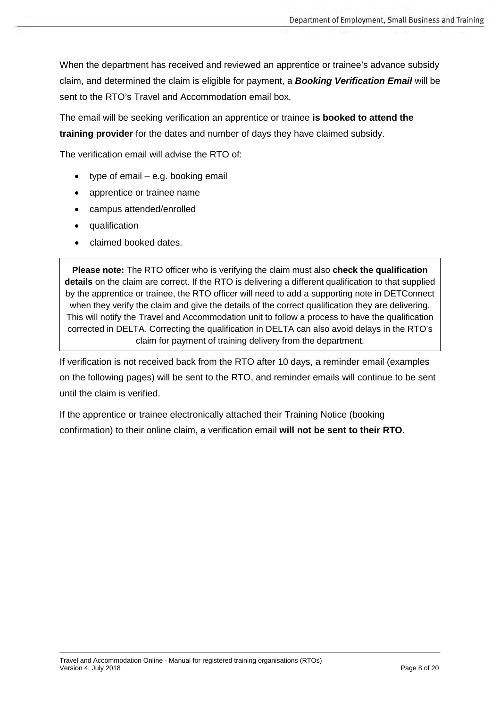When the department has received and reviewed an apprentice or trainee's advance subsidy claim, and determined the claim is eligible for payment, a *Booking Verification Email* will be sent to the RTO's Travel and Accommodation email box.

The email will be seeking verification an apprentice or trainee **is booked to attend the training provider** for the dates and number of days they have claimed subsidy.

The verification email will advise the RTO of:

- type of email e.g. booking email
- apprentice or trainee name
- campus attended/enrolled
- qualification
- claimed booked dates.

**Please note:** The RTO officer who is verifying the claim must also **check the qualification details** on the claim are correct. If the RTO is delivering a different qualification to that supplied by the apprentice or trainee, the RTO officer will need to add a supporting note in DETConnect when they verify the claim and give the details of the correct qualification they are delivering. This will notify the Travel and Accommodation unit to follow a process to have the qualification corrected in DELTA. Correcting the qualification in DELTA can also avoid delays in the RTO's claim for payment of training delivery from the department.

If verification is not received back from the RTO after 10 days, a reminder email (examples on the following pages) will be sent to the RTO, and reminder emails will continue to be sent until the claim is verified.

If the apprentice or trainee electronically attached their Training Notice (booking confirmation) to their online claim, a verification email **will not be sent to their RTO**.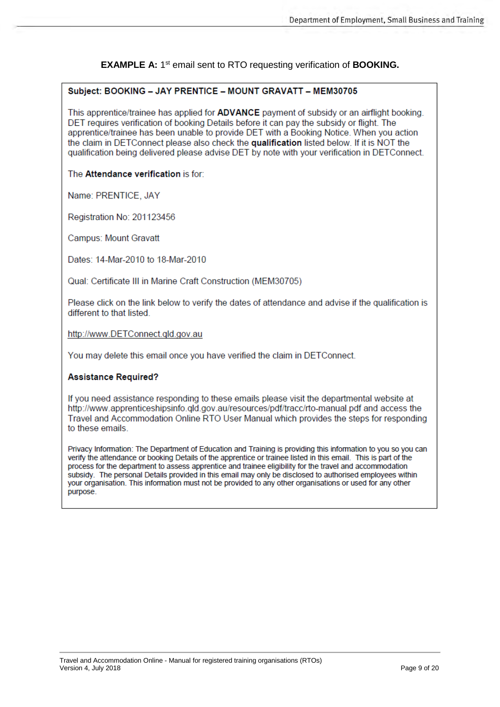**EXAMPLE A:** 1<sup>st</sup> email sent to RTO requesting verification of **BOOKING.** 

#### Subject: BOOKING - JAY PRENTICE - MOUNT GRAVATT - MEM30705

This apprentice/trainee has applied for **ADVANCE** payment of subsidy or an airflight booking. DET requires verification of booking Details before it can pay the subsidy or flight. The apprentice/trainee has been unable to provide DET with a Booking Notice. When you action the claim in DETConnect please also check the qualification listed below. If it is NOT the qualification being delivered please advise DET by note with your verification in DETConnect.

#### The Attendance verification is for:

Name: PRENTICE, JAY

Registration No: 201123456

**Campus: Mount Gravatt** 

Dates: 14-Mar-2010 to 18-Mar-2010

Qual: Certificate III in Marine Craft Construction (MEM30705)

Please click on the link below to verify the dates of attendance and advise if the qualification is different to that listed.

http://www.DETConnect.gld.gov.au

You may delete this email once you have verified the claim in DETConnect.

#### **Assistance Required?**

If you need assistance responding to these emails please visit the departmental website at http://www.apprenticeshipsinfo.gld.gov.au/resources/pdf/tracc/rto-manual.pdf and access the Travel and Accommodation Online RTO User Manual which provides the steps for responding to these emails.

Privacy Information: The Department of Education and Training is providing this information to you so you can verify the attendance or booking Details of the apprentice or trainee listed in this email. This is part of the process for the department to assess apprentice and trainee eligibility for the travel and accommodation subsidy. The personal Details provided in this email may only be disclosed to authorised employees within your organisation. This information must not be provided to any other organisations or used for any other purpose.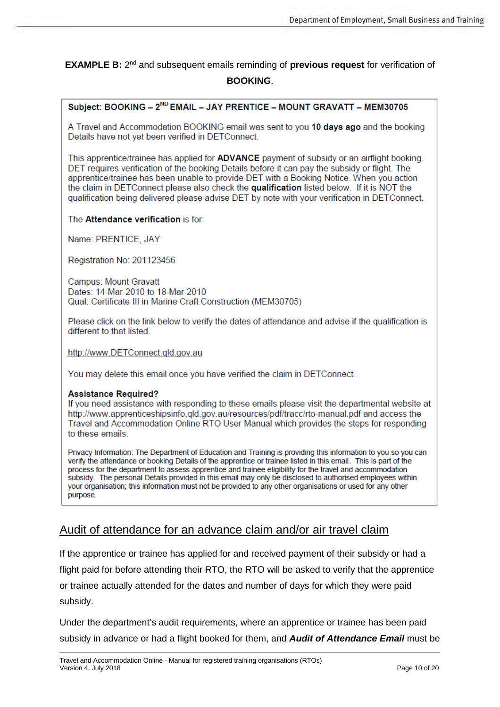**EXAMPLE B:** 2nd and subsequent emails reminding of **previous request** for verification of **BOOKING**.

### Subject: BOOKING - 2ND EMAIL - JAY PRENTICE - MOUNT GRAVATT - MEM30705

A Travel and Accommodation BOOKING email was sent to you 10 days ago and the booking Details have not yet been verified in DETConnect.

This apprentice/trainee has applied for ADVANCE payment of subsidy or an airflight booking. DET requires verification of the booking Details before it can pay the subsidy or flight. The apprentice/trainee has been unable to provide DET with a Booking Notice. When you action the claim in DETConnect please also check the qualification listed below. If it is NOT the qualification being delivered please advise DET by note with your verification in DETConnect.

#### The Attendance verification is for:

Name: PRENTICE, JAY

Registration No: 201123456

Campus: Mount Gravatt Dates: 14-Mar-2010 to 18-Mar-2010 Qual: Certificate III in Marine Craft Construction (MEM30705)

Please click on the link below to verify the dates of attendance and advise if the qualification is different to that listed.

http://www.DETConnect.gld.gov.au

You may delete this email once you have verified the claim in DETConnect.

#### **Assistance Required?**

If you need assistance with responding to these emails please visit the departmental website at http://www.apprenticeshipsinfo.qld.gov.au/resources/pdf/tracc/rto-manual.pdf and access the Travel and Accommodation Online RTO User Manual which provides the steps for responding to these emails.

Privacy Information: The Department of Education and Training is providing this information to you so you can verify the attendance or booking Details of the apprentice or trainee listed in this email. This is part of the process for the department to assess apprentice and trainee eligibility for the travel and accommodation subsidy. The personal Details provided in this email may only be disclosed to authorised employees within your organisation; this information must not be provided to any other organisations or used for any other purpose.

### <span id="page-9-0"></span>Audit of attendance for an advance claim and/or air travel claim

If the apprentice or trainee has applied for and received payment of their subsidy or had a flight paid for before attending their RTO, the RTO will be asked to verify that the apprentice or trainee actually attended for the dates and number of days for which they were paid subsidy.

Under the department's audit requirements, where an apprentice or trainee has been paid subsidy in advance or had a flight booked for them, and *Audit of Attendance Email* must be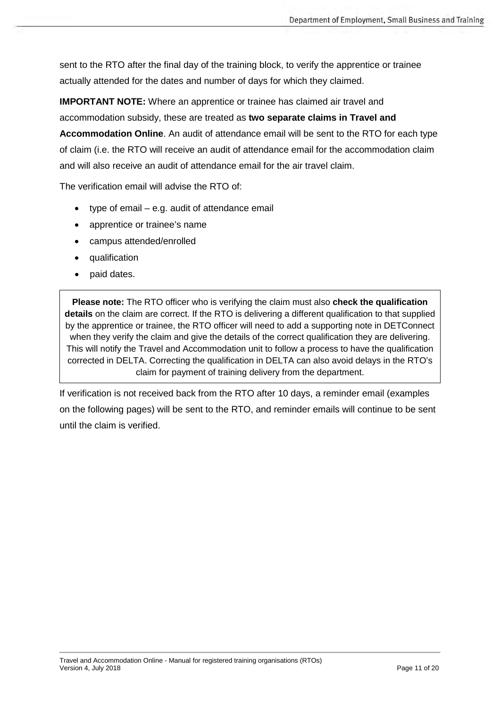sent to the RTO after the final day of the training block, to verify the apprentice or trainee actually attended for the dates and number of days for which they claimed.

**IMPORTANT NOTE:** Where an apprentice or trainee has claimed air travel and accommodation subsidy, these are treated as **two separate claims in Travel and Accommodation Online**. An audit of attendance email will be sent to the RTO for each type of claim (i.e. the RTO will receive an audit of attendance email for the accommodation claim and will also receive an audit of attendance email for the air travel claim.

The verification email will advise the RTO of:

- type of email e.g. audit of attendance email
- apprentice or trainee's name
- campus attended/enrolled
- qualification
- paid dates.

**Please note:** The RTO officer who is verifying the claim must also **check the qualification details** on the claim are correct. If the RTO is delivering a different qualification to that supplied by the apprentice or trainee, the RTO officer will need to add a supporting note in DETConnect when they verify the claim and give the details of the correct qualification they are delivering. This will notify the Travel and Accommodation unit to follow a process to have the qualification corrected in DELTA. Correcting the qualification in DELTA can also avoid delays in the RTO's claim for payment of training delivery from the department.

If verification is not received back from the RTO after 10 days, a reminder email (examples on the following pages) will be sent to the RTO, and reminder emails will continue to be sent until the claim is verified.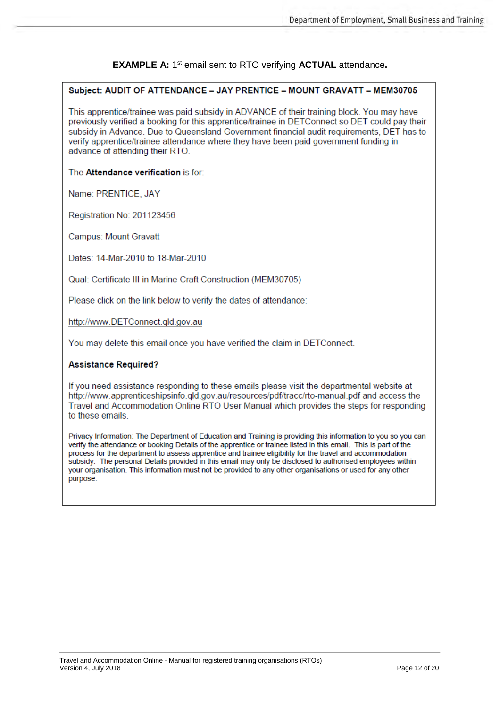#### **EXAMPLE A: 1st email sent to RTO verifying ACTUAL attendance.**

#### Subject: AUDIT OF ATTENDANCE - JAY PRENTICE - MOUNT GRAVATT - MEM30705

This apprentice/trainee was paid subsidy in ADVANCE of their training block. You may have previously verified a booking for this apprentice/trainee in DETConnect so DET could pay their subsidy in Advance. Due to Queensland Government financial audit requirements, DET has to verify apprentice/trainee attendance where they have been paid government funding in advance of attending their RTO.

The Attendance verification is for:

Name: PRENTICE, JAY

Registration No: 201123456

**Campus: Mount Gravatt** 

Dates: 14-Mar-2010 to 18-Mar-2010

Qual: Certificate III in Marine Craft Construction (MEM30705)

Please click on the link below to verify the dates of attendance:

http://www.DETConnect.qld.gov.au

You may delete this email once you have verified the claim in DETConnect.

#### **Assistance Required?**

If you need assistance responding to these emails please visit the departmental website at http://www.apprenticeshipsinfo.gld.gov.au/resources/pdf/tracc/rto-manual.pdf and access the Travel and Accommodation Online RTO User Manual which provides the steps for responding to these emails.

Privacy Information: The Department of Education and Training is providing this information to you so you can verify the attendance or booking Details of the apprentice or trainee listed in this email. This is part of the process for the department to assess apprentice and trainee eligibility for the travel and accommodation subsidy. The personal Details provided in this email may only be disclosed to authorised employees within your organisation. This information must not be provided to any other organisations or used for any other purpose.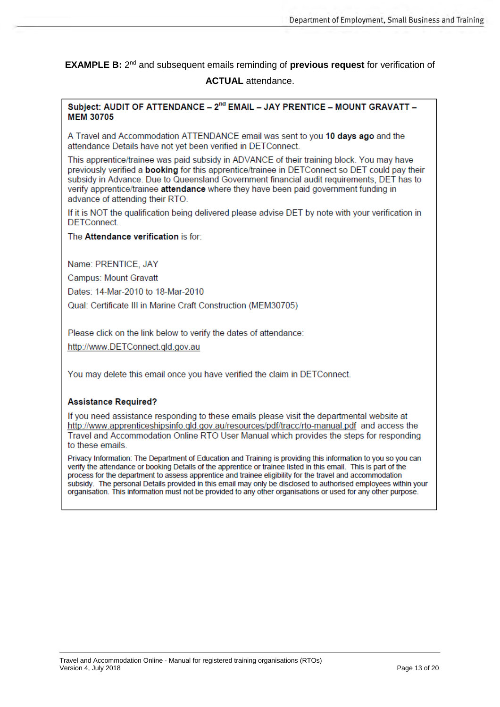**EXAMPLE B:** 2<sup>nd</sup> and subsequent emails reminding of previous request for verification of **ACTUAL** attendance.

#### Subject: AUDIT OF ATTENDANCE - 2<sup>nd</sup> EMAIL - JAY PRENTICE - MOUNT GRAVATT -**MFM 30705**

A Travel and Accommodation ATTENDANCE email was sent to you 10 days ago and the attendance Details have not vet been verified in DETConnect.

This apprentice/trainee was paid subsidy in ADVANCE of their training block. You may have previously verified a **booking** for this apprentice/trainee in DETConnect so DET could pay their subsidy in Advance. Due to Queensland Government financial audit requirements, DET has to verify apprentice/trainee attendance where they have been paid government funding in advance of attending their RTO.

If it is NOT the qualification being delivered please advise DET by note with your verification in **DETConnect** 

The Attendance verification is for:

Name: PRENTICE, JAY

**Campus: Mount Gravatt** 

Dates: 14-Mar-2010 to 18-Mar-2010

Qual: Certificate III in Marine Craft Construction (MEM30705)

Please click on the link below to verify the dates of attendance:

http://www.DETConnect.gld.gov.au

You may delete this email once you have verified the claim in DETConnect.

#### **Assistance Required?**

If you need assistance responding to these emails please visit the departmental website at http://www.apprenticeshipsinfo.qld.gov.au/resources/pdf/tracc/rto-manual.pdf and access the Travel and Accommodation Online RTO User Manual which provides the steps for responding to these emails.

Privacy Information: The Department of Education and Training is providing this information to you so you can verify the attendance or booking Details of the apprentice or trainee listed in this email. This is part of the process for the department to assess apprentice and trainee eligibility for the travel and accommodation subsidy. The personal Details provided in this email may only be disclosed to authorised employees within your organisation. This information must not be provided to any other organisations or used for any other purpose.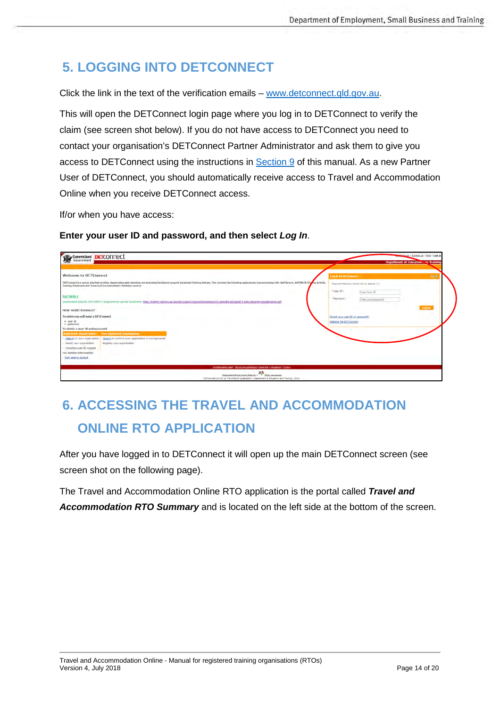# <span id="page-13-0"></span>**5. LOGGING INTO DETCONNECT**

Click the link in the text of the verification emails – [www.detconnect.qld.gov.au.](http://www.detconnect.qld.gov.au/)

This will open the DETConnect login page where you log in to DETConnect to verify the claim (see screen shot below). If you do not have access to DETConnect you need to contact your organisation's DETConnect Partner Administrator and ask them to give you access to DETConnect using the instructions in [Section 9](#page-18-0) of this manual. As a new Partner User of DETConnect, you should automatically receive access to Travel and Accommodation Online when you receive DETConnect access.

If/or when you have access:

**Enter your user ID and password, and then select** *Log In*.

| Queensland DETCONNect                                                                                                                                                                                                                                                                                                                                                                                                                                                                                                                                                                                                                                                                                                                                                                                                                                                                                                                             | Home   Cantact us   Help   Log in<br>Department of Education and Training                                                                                                                                                          |
|---------------------------------------------------------------------------------------------------------------------------------------------------------------------------------------------------------------------------------------------------------------------------------------------------------------------------------------------------------------------------------------------------------------------------------------------------------------------------------------------------------------------------------------------------------------------------------------------------------------------------------------------------------------------------------------------------------------------------------------------------------------------------------------------------------------------------------------------------------------------------------------------------------------------------------------------------|------------------------------------------------------------------------------------------------------------------------------------------------------------------------------------------------------------------------------------|
| <b>Welcome to DETConnect</b><br>DETConnect is a secure site that provides stakeholders with reporting and searching facilities to support Vocational Training delivery. This includes the following applications Apprentices/tage lafo Self Service, AVETMISS<br>Training Downloads and Travel and Accommodation Validation service.<br><b>AVETMISS &amp;</b><br>Operentiated Specific AVETMISS 8 requirements can be found fore. https://training.old.gov.au/alle/dock-pata/Documents/statistics/to-data/pld-tel-avet8.0-data-excorting-equirements.pdf<br>New to DETConnect?<br>To entervou will need a DETConnect.<br>· user ID<br>· password<br>To obtain a user ID and password<br>continuous innehisme - Annipeliario innehistant<br>Search for your organisation<br>Search to confirm your organisation is not registered<br>Select vour organisation<br>Register your organisation<br>Complete user ID request<br>For further information | 推進<br>Log in to DETConnect<br>Regional fields are marked with an asterial (*).<br>"User ID:<br>Enter Use ID<br>*Password:<br>Eitler your password<br><b>Lind MY</b><br>Forgot your user ID or password?<br>Register for DETConnect |
| - Visit oetting started<br>Simfolerstietite.deed   Thermi and constitues   Councruit   Disclations   Primecy<br>Cusecalind Government Gate-un   2014 Languages<br>DETCOMMEDIA.53 @ The State of Queensland [ Department of Education and Training ] 2018.                                                                                                                                                                                                                                                                                                                                                                                                                                                                                                                                                                                                                                                                                         |                                                                                                                                                                                                                                    |

# <span id="page-13-1"></span>**6. ACCESSING THE TRAVEL AND ACCOMMODATION ONLINE RTO APPLICATION**

After you have logged in to DETConnect it will open up the main DETConnect screen (see screen shot on the following page).

The Travel and Accommodation Online RTO application is the portal called *Travel and Accommodation RTO Summary* and is located on the left side at the bottom of the screen.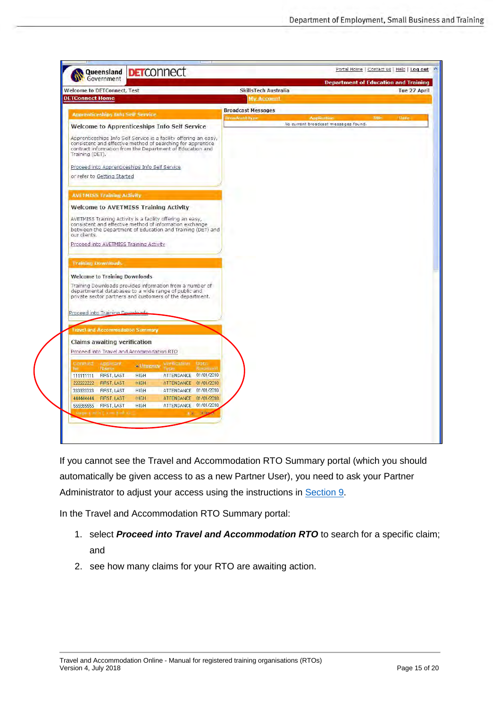| Government                                                                                                                                                                                                       |                                                                              | <b>Department of Education and Training</b> |
|------------------------------------------------------------------------------------------------------------------------------------------------------------------------------------------------------------------|------------------------------------------------------------------------------|---------------------------------------------|
| <b>Welcome to DETConnect, Test</b>                                                                                                                                                                               | SkillsTech Australia                                                         | Tue 27 April                                |
| <b>DETConnect Home</b>                                                                                                                                                                                           | <b>My Account</b>                                                            |                                             |
| <b>Apprenticeships Info Self Service</b>                                                                                                                                                                         | <b>Broadcast Messages</b>                                                    |                                             |
|                                                                                                                                                                                                                  | Broadcast type<br><b>Application</b><br>No current broadcast messages found. | Title<br><b>Bate</b>                        |
| Welcome to Apprenticeships Info Self Service                                                                                                                                                                     |                                                                              |                                             |
| Apprenticeships Info Self Service is a facility offering an easy,<br>consistent and effective method of searching for apprentice<br>contract information from the Department of Education and<br>Training (DET). |                                                                              |                                             |
| Proceed into Apprenticeships Info Self Service                                                                                                                                                                   |                                                                              |                                             |
| or refer to Getting Started                                                                                                                                                                                      |                                                                              |                                             |
| <b>AVETMISS Training Activity</b>                                                                                                                                                                                |                                                                              |                                             |
|                                                                                                                                                                                                                  |                                                                              |                                             |
| <b>Welcome to AVETMISS Training Activity</b>                                                                                                                                                                     |                                                                              |                                             |
| AVETMISS Training Activity is a facility offering an easy,<br>consistent and effective method of information exchange<br>between the Department of Education and Training (DET) and<br>our clients.              |                                                                              |                                             |
| Proceed into AVETMISS Training Activity                                                                                                                                                                          |                                                                              |                                             |
| <b>Training Downloads</b>                                                                                                                                                                                        |                                                                              |                                             |
| <b>Welcome to Training Downloads</b>                                                                                                                                                                             |                                                                              |                                             |
| Training Downloads provides information from a number of<br>departmental databases to a wide range of public and<br>private sector partners and customers of the department.                                     |                                                                              |                                             |
| Proceed into Training Downloads                                                                                                                                                                                  |                                                                              |                                             |
| <b>Travel and Accommodation Summary</b>                                                                                                                                                                          |                                                                              |                                             |
|                                                                                                                                                                                                                  |                                                                              |                                             |
| <b>Claims awaiting verification</b>                                                                                                                                                                              |                                                                              |                                             |
| Proceed into Travel and Accommodation RTO                                                                                                                                                                        |                                                                              |                                             |
| Contribute<br>Applicant<br><b>Vertication</b><br>Date<br><b>«Urgeney</b><br>NG.<br>Name<br>Received<br>Fyrine                                                                                                    |                                                                              |                                             |
| ATTENDANCE 01/01/2010<br>FIRST, LAST<br><b>HIGH</b><br>111111111                                                                                                                                                 |                                                                              |                                             |
| 2222222222<br><b>HIGH</b><br>ATTENDANCE 01/01/2010<br><b>FIRST, LAST</b>                                                                                                                                         |                                                                              |                                             |
| 333333333<br>FIRST, LAST<br><b>HIGH</b><br>ATTENDANCE 01/01/2010                                                                                                                                                 |                                                                              |                                             |
| 44444444<br><b>FIRST, LAST</b><br>HIGH<br>ATTENDANCE 01/01/2010                                                                                                                                                  |                                                                              |                                             |
| ATTENDANCE 01/01/2010<br>555555555<br>FIRST, LAST<br>HIGH                                                                                                                                                        |                                                                              |                                             |
| Regeral of B.C. Lines B.GR 12<br>$-2 - 3$ Ne                                                                                                                                                                     |                                                                              |                                             |
|                                                                                                                                                                                                                  |                                                                              |                                             |

If you cannot see the Travel and Accommodation RTO Summary portal (which you should automatically be given access to as a new Partner User), you need to ask your Partner Administrator to adjust your access using the instructions in [Section 9.](#page-18-0)

In the Travel and Accommodation RTO Summary portal:

- 1. select *Proceed into Travel and Accommodation RTO* to search for a specific claim; and
- 2. see how many claims for your RTO are awaiting action.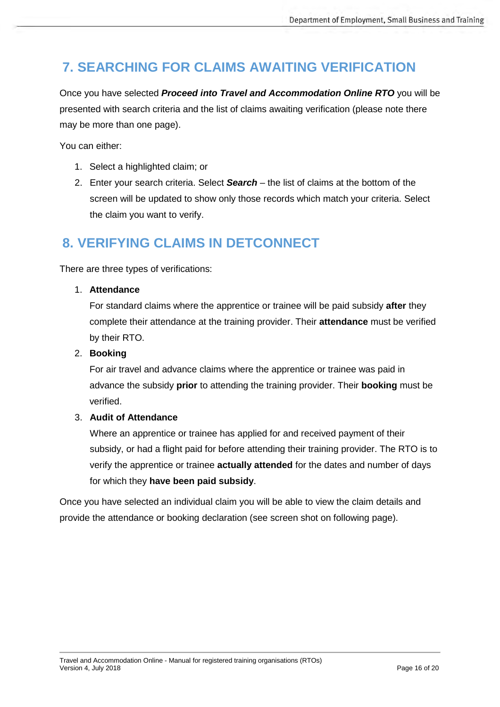# <span id="page-15-0"></span>**7. SEARCHING FOR CLAIMS AWAITING VERIFICATION**

Once you have selected *Proceed into Travel and Accommodation Online RTO* you will be presented with search criteria and the list of claims awaiting verification (please note there may be more than one page).

You can either:

- 1. Select a highlighted claim; or
- 2. Enter your search criteria. Select *Search* the list of claims at the bottom of the screen will be updated to show only those records which match your criteria. Select the claim you want to verify.

## <span id="page-15-1"></span>**8. VERIFYING CLAIMS IN DETCONNECT**

There are three types of verifications:

#### 1. **Attendance**

For standard claims where the apprentice or trainee will be paid subsidy **after** they complete their attendance at the training provider. Their **attendance** must be verified by their RTO.

#### 2. **Booking**

For air travel and advance claims where the apprentice or trainee was paid in advance the subsidy **prior** to attending the training provider. Their **booking** must be verified.

#### 3. **Audit of Attendance**

Where an apprentice or trainee has applied for and received payment of their subsidy, or had a flight paid for before attending their training provider. The RTO is to verify the apprentice or trainee **actually attended** for the dates and number of days for which they **have been paid subsidy**.

Once you have selected an individual claim you will be able to view the claim details and provide the attendance or booking declaration (see screen shot on following page).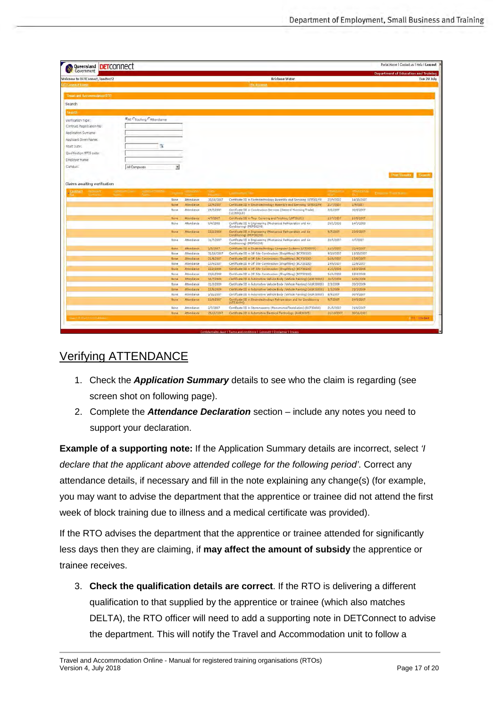|                                             |                                                  |              |                          |                        |                                                                                                                                       |                        |                         | Department of Education and Training. |  |
|---------------------------------------------|--------------------------------------------------|--------------|--------------------------|------------------------|---------------------------------------------------------------------------------------------------------------------------------------|------------------------|-------------------------|---------------------------------------|--|
| Welcome to DETConnect, loadtest2            |                                                  |              |                          | <b>Brisbane Water</b>  |                                                                                                                                       |                        |                         | Tue 28 July                           |  |
| <b>Ci Connect Home</b>                      |                                                  |              |                          | <b>INV/ACCOUNT</b>     |                                                                                                                                       |                        |                         |                                       |  |
| <b>Travel and Accommodation RTO</b>         |                                                  |              |                          |                        |                                                                                                                                       |                        |                         |                                       |  |
| Search                                      |                                                  |              |                          |                        |                                                                                                                                       |                        |                         |                                       |  |
|                                             |                                                  |              |                          |                        |                                                                                                                                       |                        |                         |                                       |  |
| Searth                                      |                                                  |              |                          |                        |                                                                                                                                       |                        |                         |                                       |  |
| Verification Type:                          | FAIL C Booking CAttendance                       |              |                          |                        |                                                                                                                                       |                        |                         |                                       |  |
| Contract Registration No:                   |                                                  |              |                          |                        |                                                                                                                                       |                        |                         |                                       |  |
| Application Surname:                        |                                                  |              |                          |                        |                                                                                                                                       |                        |                         |                                       |  |
| Applicant Given Name:                       |                                                  |              |                          |                        |                                                                                                                                       |                        |                         |                                       |  |
|                                             |                                                  |              |                          |                        |                                                                                                                                       |                        |                         |                                       |  |
| Start Date:                                 | $\overline{\mathbf{u}}$                          |              |                          |                        |                                                                                                                                       |                        |                         |                                       |  |
| Qualification NTIS codu:                    |                                                  |              |                          |                        |                                                                                                                                       |                        |                         |                                       |  |
| Employer name:                              |                                                  |              |                          |                        |                                                                                                                                       |                        |                         |                                       |  |
| Campus:                                     |                                                  |              |                          |                        |                                                                                                                                       |                        |                         |                                       |  |
|                                             | All Campuses                                     | ×            |                          |                        |                                                                                                                                       |                        |                         |                                       |  |
| <b><i><u>Anomesine</u></i></b><br>Contract. | <b>Contract Contract</b><br>office and committee |              | m-assa                   | <b>Linday</b>          | <b>Laurence Mark Title</b>                                                                                                            | <b>PERMITES</b>        | <b>RESIDENCIA</b>       | Federal World Wales                   |  |
|                                             |                                                  | None         | Attendance               | 30/10/2007             | Certricate III in Electrotechnology Assembly and Servicing (UTE30199)                                                                 | 22/9/2007              | 14/10/2007              |                                       |  |
|                                             |                                                  |              |                          |                        |                                                                                                                                       |                        |                         |                                       |  |
|                                             |                                                  | None         | Attendance               | 12/9/2007              | Certificate III in Electrotechnology Assembly and Servicing (UTE30199)                                                                | 21/7/2007              | 2/9/2007                |                                       |  |
|                                             |                                                  | None         | Attendance               | 19/7/2007              | Certificate III in Construction Services (General Plombing Trade)<br>(12265QLD)                                                       | 3/6/7007               | 30/6/2007               |                                       |  |
|                                             |                                                  | None         | Attendance               | 4/7/2007               | Certificate III in Floor Covering and Finishing (LMF30102)                                                                            | 13/7/2007              | 10/0/2007               |                                       |  |
|                                             |                                                  | None         | Attendance               | 9/4/2000               | Certificate III in Engineering (Mechanical Refrigeration and Air                                                                      | 29/1/2008              | 14/3/2008               |                                       |  |
|                                             |                                                  | None         | Attendance               | 22/2/2008              | Cunditioning) (MEM30298)<br>Certificate III in Engineering (Mechanical Refrigeration and Air                                          | 9/7/2007               | 23/8/2007               |                                       |  |
|                                             |                                                  | Nónie        | Attendance               | 31/7/2007              | Conditioning) (MEM30298)<br>Certificate III in Engineering (Mechanical Refrigeration and Air                                          | 20/5/2007              | 4/7/2097                |                                       |  |
|                                             |                                                  |              |                          |                        | Conditioning) (MEM30298)                                                                                                              |                        |                         |                                       |  |
|                                             |                                                  | Nane<br>None | Attendance<br>Attendance | 1/5/2007<br>31/10/2007 | Certificate III in Electrotechnology Computer Systems (UTE30599)<br>Certificate III in Off Site Construction (Shopfitting) (BCF30100) | 10/3/2007<br>9/10/2007 | 22/4/2007<br>11/10/2007 |                                       |  |
|                                             |                                                  | None         | Attendance               | 21/9/2007              | Certificate III in Off Site Construction (Shopfitting) (RCF30100)                                                                     | 14/8/2007              | 17/8/2007               |                                       |  |
|                                             |                                                  | None         | Attendance               | 13/4/2007              | Certificate III in Off Site Construction (Shopfitting) (BCF30100)                                                                     | 19/6/2007              | 22/6/2007               |                                       |  |
|                                             |                                                  | <b>None</b>  | Attendance               | 22/2/2009              | Certificate III in Off Site Construction (Shopfittung) (BCF30100)                                                                     | 11/2/2008              | 15/2/2008               |                                       |  |
|                                             |                                                  | None         | Attendance               | 23/6/2008              | Certificate III in Off Site Construction (Shopfitting) (BCF30100)                                                                     | 14/4/2008              | 1874/2008               |                                       |  |
|                                             |                                                  | None         | Attendance               | 14/7/2008              | Certificate III in Automotive Vehicle Body (Vehicle Painting) (AUR30805)                                                              | 24/5/2003              | 14/6/2008               |                                       |  |
|                                             |                                                  | None         | Attendance               | 31/3/2009              | Certificate III in Automobile Vehicle Body (Vehicle Painting) (AUR30805).                                                             | 2/3/2009               | 20/3/2009               |                                       |  |
|                                             |                                                  | Nonet        | Attendance               | 12/5/2009              | Certificate III in Automotive Vehicle Body (Vehicle Fairting) (AUR36805)                                                              | 1/3/7009               | 21/3/2009               |                                       |  |
|                                             |                                                  | None         | Attendance               | 1/11/2007              | Certificate III in Automotive Vehicle Body (Vehicle Painting) (AUR30805).                                                             | 8/9/2007               | 30/9/2007               |                                       |  |
|                                             |                                                  | None         | Attendance               | 13/9/2007              | Certificate III in Electrotechnology Refrigeration and Air Conditioning<br>(UTE30999)                                                 | 9/7/2007               | 24/8/2007               |                                       |  |
|                                             |                                                  | None         | Attendance               | 2/7/2007               | Certificate III in Stonemasonry (Monumental/Installation) (BCF30600).                                                                 | 21/5/2007              | 21/6/2007               |                                       |  |
|                                             |                                                  | None         | Attendance               | 25/10/2007             | Certificate III in Automotive Electrical Technology (AUR30305)                                                                        | 22/10/2007             | 30/11/2007              |                                       |  |

### <span id="page-16-0"></span>Verifying ATTENDANCE

- 1. Check the *Application Summary* details to see who the claim is regarding (see screen shot on following page).
- 2. Complete the *Attendance Declaration* section include any notes you need to support your declaration.

**Example of a supporting note:** If the Application Summary details are incorrect, select *'I declare that the applicant above attended college for the following period'*. Correct any attendance details, if necessary and fill in the note explaining any change(s) (for example, you may want to advise the department that the apprentice or trainee did not attend the first week of block training due to illness and a medical certificate was provided).

If the RTO advises the department that the apprentice or trainee attended for significantly less days then they are claiming, if **may affect the amount of subsidy** the apprentice or trainee receives.

3. **Check the qualification details are correct**. If the RTO is delivering a different qualification to that supplied by the apprentice or trainee (which also matches DELTA), the RTO officer will need to add a supporting note in DETConnect to advise the department. This will notify the Travel and Accommodation unit to follow a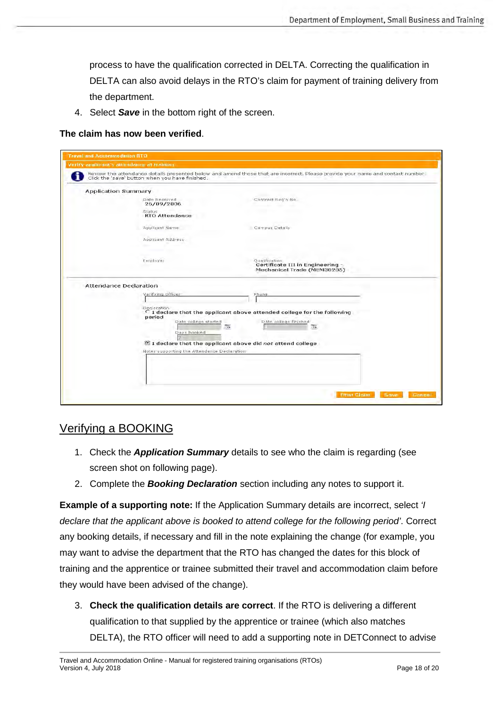process to have the qualification corrected in DELTA. Correcting the qualification in DELTA can also avoid delays in the RTO's claim for payment of training delivery from the department.

4. Select *Save* in the bottom right of the screen.

#### **The claim has now been verified**.

| <b>Travel and Accommodation RTO</b> |                                                                                                                                                                                   |                                                                                                                                                                                       |  |  |  |  |  |
|-------------------------------------|-----------------------------------------------------------------------------------------------------------------------------------------------------------------------------------|---------------------------------------------------------------------------------------------------------------------------------------------------------------------------------------|--|--|--|--|--|
|                                     | Verify applicant's attendance at training                                                                                                                                         |                                                                                                                                                                                       |  |  |  |  |  |
|                                     | Review the attendance details presented below and amend those that are incorrect, Please provide your name and contact number.<br>Click the 'save' button when you have finished. |                                                                                                                                                                                       |  |  |  |  |  |
|                                     | <b>Application Summary</b>                                                                                                                                                        |                                                                                                                                                                                       |  |  |  |  |  |
|                                     | Date Received<br>26/09/2006                                                                                                                                                       | Contract Reg'n No.                                                                                                                                                                    |  |  |  |  |  |
|                                     | Status<br><b>RTO Attendance</b>                                                                                                                                                   |                                                                                                                                                                                       |  |  |  |  |  |
|                                     | Applicant Name                                                                                                                                                                    | Campus Details                                                                                                                                                                        |  |  |  |  |  |
|                                     | Applicant Address                                                                                                                                                                 |                                                                                                                                                                                       |  |  |  |  |  |
|                                     | Employer                                                                                                                                                                          | Oualification<br>Certificate III in Engineering -<br>Mechanical Trade (MEM30205)                                                                                                      |  |  |  |  |  |
| Attendance Declaration              |                                                                                                                                                                                   |                                                                                                                                                                                       |  |  |  |  |  |
|                                     | Verifying Officer                                                                                                                                                                 | Phone                                                                                                                                                                                 |  |  |  |  |  |
|                                     | Declaration.<br>period<br>Date college started<br>Days booked<br>Notes supporting the Attendance Declaration                                                                      | $C$ I declare that the applicant above attended college for the following<br>Date college finished<br>际<br>$\sqrt{2}$<br>If I declare that the applicant above did not attend college |  |  |  |  |  |
|                                     |                                                                                                                                                                                   | <b>Ermt Claim</b><br>Save<br><b>Gancel</b>                                                                                                                                            |  |  |  |  |  |

### <span id="page-17-0"></span>Verifying a BOOKING

- 1. Check the *Application Summary* details to see who the claim is regarding (see screen shot on following page).
- 2. Complete the *Booking Declaration* section including any notes to support it.

**Example of a supporting note:** If the Application Summary details are incorrect, select *'I declare that the applicant above is booked to attend college for the following period'*. Correct any booking details, if necessary and fill in the note explaining the change (for example, you may want to advise the department that the RTO has changed the dates for this block of training and the apprentice or trainee submitted their travel and accommodation claim before they would have been advised of the change).

3. **Check the qualification details are correct**. If the RTO is delivering a different qualification to that supplied by the apprentice or trainee (which also matches DELTA), the RTO officer will need to add a supporting note in DETConnect to advise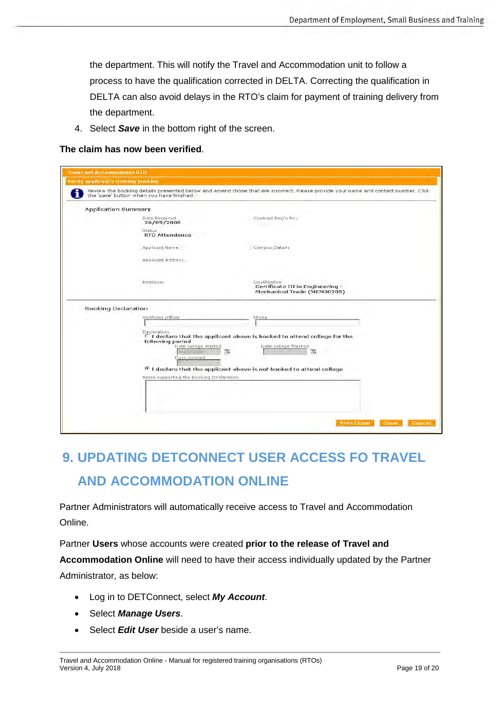the department. This will notify the Travel and Accommodation unit to follow a process to have the qualification corrected in DELTA. Correcting the qualification in DELTA can also avoid delays in the RTO's claim for payment of training delivery from the department.

4. Select *Save* in the bottom right of the screen.

#### **The claim has now been verified**.

| <b>Verify applicant's training bunking</b> |                                                                                                                                                                                |                                                                                                                                                                                                               |  |  |  |  |  |
|--------------------------------------------|--------------------------------------------------------------------------------------------------------------------------------------------------------------------------------|---------------------------------------------------------------------------------------------------------------------------------------------------------------------------------------------------------------|--|--|--|--|--|
|                                            | Review the booking details presented below and amend those that are incorrect. Please provide your name and contact number. Click<br>the 'save' button when you have finished. |                                                                                                                                                                                                               |  |  |  |  |  |
| <b>Application Summary</b>                 |                                                                                                                                                                                |                                                                                                                                                                                                               |  |  |  |  |  |
|                                            | Date Received<br>26/09/2006                                                                                                                                                    | Contract Reg'n No.                                                                                                                                                                                            |  |  |  |  |  |
|                                            | Status<br><b>RTO Attendance</b>                                                                                                                                                |                                                                                                                                                                                                               |  |  |  |  |  |
|                                            | Applicant Name                                                                                                                                                                 | Campus Details                                                                                                                                                                                                |  |  |  |  |  |
|                                            | Applicant Address                                                                                                                                                              |                                                                                                                                                                                                               |  |  |  |  |  |
|                                            | Employer                                                                                                                                                                       | Qualification<br>Certificate III in Engineering -<br>Mechanical Trade (MEM30205)                                                                                                                              |  |  |  |  |  |
| <b>Booking Declaration</b>                 |                                                                                                                                                                                |                                                                                                                                                                                                               |  |  |  |  |  |
|                                            | Verifying Officer                                                                                                                                                              | Phone                                                                                                                                                                                                         |  |  |  |  |  |
|                                            | Declaration<br>following period<br>Date college started<br>1:4/09/2006<br>Days booked<br>Notes supporting the Booking Declaration                                              | C I declare that the applicant above is booked to attend college for the<br>Date college finished<br>$\sqrt{12}$<br>$\overline{12}$ .<br>F I declare that the applicant above is not booked to attend college |  |  |  |  |  |
|                                            |                                                                                                                                                                                | <b>Frint Claim</b><br>Cancel<br>Save                                                                                                                                                                          |  |  |  |  |  |

# <span id="page-18-0"></span>**9. UPDATING DETCONNECT USER ACCESS FO TRAVEL AND ACCOMMODATION ONLINE**

Partner Administrators will automatically receive access to Travel and Accommodation Online.

Partner **Users** whose accounts were created **prior to the release of Travel and** 

**Accommodation Online** will need to have their access individually updated by the Partner Administrator, as below:

- Log in to DETConnect, select *My Account*.
- Select *Manage Users*.
- Select *Edit User* beside a user's name.